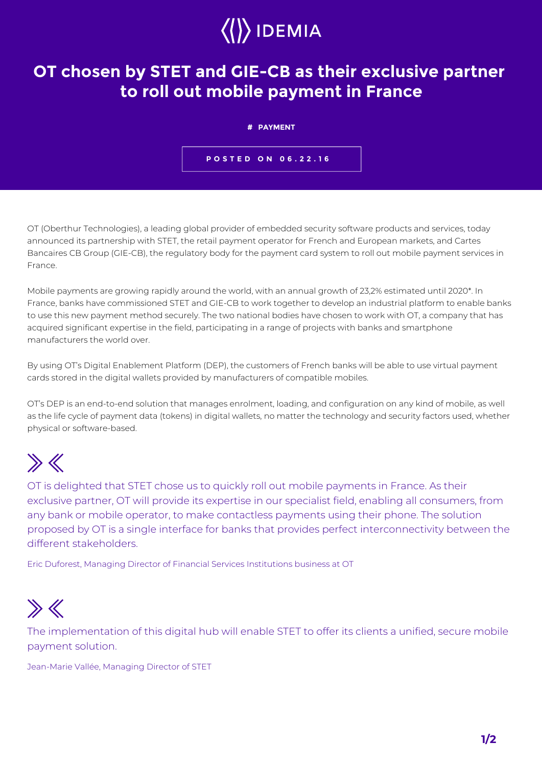## $\langle\langle\rangle\rangle$  IDEMIA

## **OT chosen by STET and GIE-CB as their exclusive partner to roll out mobile payment in France**

**# PAYMENT**

**POSTED ON 06.22.16**

OT (Oberthur Technologies), a leading global provider of embedded security software products and services, today announced its partnership with STET, the retail payment operator for French and European markets, and Cartes Bancaires CB Group (GIE-CB), the regulatory body for the payment card system to roll out mobile payment services in France.

Mobile payments are growing rapidly around the world, with an annual growth of 23,2% estimated until 2020\*. In France, banks have commissioned STET and GIE-CB to work together to develop an industrial platform to enable banks to use this new payment method securely. The two national bodies have chosen to work with OT, a company that has acquired significant expertise in the field, participating in a range of projects with banks and smartphone manufacturers the world over.

By using OT's Digital Enablement Platform (DEP), the customers of French banks will be able to use virtual payment cards stored in the digital wallets provided by manufacturers of compatible mobiles.

OT's DEP is an end-to-end solution that manages enrolment, loading, and configuration on any kind of mobile, as well as the life cycle of payment data (tokens) in digital wallets, no matter the technology and security factors used, whether physical or software-based.

## $\gg K$

OT is delighted that STET chose us to quickly roll out mobile payments in France. As their exclusive partner, OT will provide its expertise in our specialist field, enabling all consumers, from any bank or mobile operator, to make contactless payments using their phone. The solution proposed by OT is a single interface for banks that provides perfect interconnectivity between the different stakeholders.

Eric Duforest, Managing Director of Financial Services Institutions business at OT

## $\gg$

The implementation of this digital hub will enable STET to offer its clients a unified, secure mobile payment solution.

Jean-Marie Vallée, Managing Director of STET